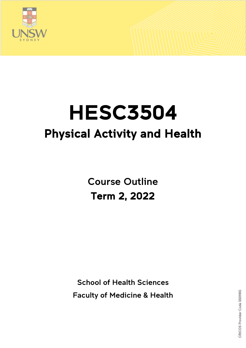

# HESC3504 Physical Activity and Health

Course Outline Term 2, 2022

School of Health Sciences Faculty of Medicine & Health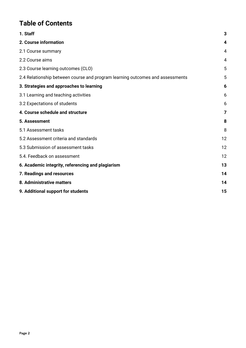# **Table of Contents**

| 1. Staff                                                                      | 3  |
|-------------------------------------------------------------------------------|----|
| 2. Course information                                                         | 4  |
| 2.1 Course summary                                                            | 4  |
| 2.2 Course aims                                                               | 4  |
| 2.3 Course learning outcomes (CLO)                                            | 5  |
| 2.4 Relationship between course and program learning outcomes and assessments | 5  |
| 3. Strategies and approaches to learning                                      | 6  |
| 3.1 Learning and teaching activities                                          | 6  |
| 3.2 Expectations of students                                                  | 6  |
| 4. Course schedule and structure                                              | 7  |
| 5. Assessment                                                                 | 8  |
| 5.1 Assessment tasks                                                          | 8  |
| 5.2 Assessment criteria and standards                                         | 12 |
| 5.3 Submission of assessment tasks                                            | 12 |
| 5.4. Feedback on assessment                                                   | 12 |
| 6. Academic integrity, referencing and plagiarism                             | 13 |
| 7. Readings and resources                                                     | 14 |
| 8. Administrative matters                                                     | 14 |
| 9. Additional support for students                                            | 15 |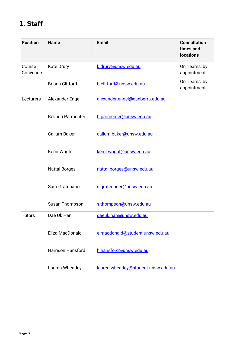# <span id="page-2-0"></span>1. Staff

| <b>Position</b>     | <b>Name</b>              | <b>Email</b>                        | <b>Consultation</b><br>times and<br><b>locations</b> |
|---------------------|--------------------------|-------------------------------------|------------------------------------------------------|
| Course<br>Convenors | <b>Kate Drury</b>        | k.drury@unsw.edu.au                 | On Teams, by<br>appointment                          |
|                     | <b>Briana Clifford</b>   | b.clifford@unsw.edu.au              | On Teams, by<br>appointment                          |
| Lecturers           | Alexander Engel          | alexander.engel@canberra.edu.au     |                                                      |
|                     | <b>Belinda Parmenter</b> | b.parmenter@unsw.edu.au             |                                                      |
|                     | <b>Callum Baker</b>      | callum.baker@unsw.edu.au            |                                                      |
|                     | Kemi Wright              | kemi.wright@unsw.edu.au             |                                                      |
|                     | Nattai Borges            | nattai.borges@unsw.edu.au           |                                                      |
|                     | Sara Grafenauer          | s.grafenauer@unsw.edu.au            |                                                      |
|                     | Susan Thompson           | s.thompson@unsw.edu.au              |                                                      |
| <b>Tutors</b>       | Dae Uk Han               | daeuk.han@unsw.edu.au               |                                                      |
|                     | Eliza MacDonald          | e.macdonald@student.unsw.edu.au     |                                                      |
|                     | <b>Harrison Hansford</b> | h.hansford@unsw.edu.au              |                                                      |
|                     | Lauren Wheatley          | lauren.wheatley@student.unsw.edu.au |                                                      |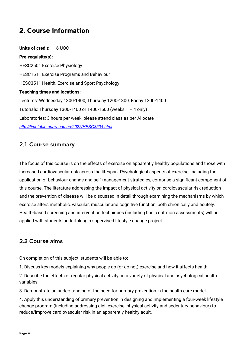# <span id="page-3-0"></span>2. Course information

**Units of credit:** 6 UOC **Pre-requisite(s):**  HESC2501 Exercise Physiology HESC1511 Exercise Programs and Behaviour HESC3511 Health, Exercise and Sport Psychology **Teaching times and locations:**  Lectures: Wednesday 1300-1400, Thursday 1200-1300, Friday 1300-1400 Tutorials: Thursday 1300-1400 or 1400-1500 (weeks 1 – 4 only) Laboratories: 3 hours per week, please attend class as per Allocate *<http://timetable.unsw.edu.au/2022/HESC3504.html>*

## <span id="page-3-1"></span>2.1 Course summary

The focus of this course is on the effects of exercise on apparently healthy populations and those with increased cardiovascular risk across the lifespan. Psychological aspects of exercise, including the application of behaviour change and self-management strategies, comprise a significant component of this course. The literature addressing the impact of physical activity on cardiovascular risk reduction and the prevention of disease will be discussed in detail through examining the mechanisms by which exercise alters metabolic, vascular, muscular and cognitive function, both chronically and acutely. Health-based screening and intervention techniques (including basic nutrition assessments) will be applied with students undertaking a supervised lifestyle change project.

## <span id="page-3-2"></span>2.2 Course aims

On completion of this subject, students will be able to:

1. Discuss key models explaining why people do (or do not) exercise and how it affects health.

2. Describe the effects of regular physical activity on a variety of physical and psychological health variables.

3. Demonstrate an understanding of the need for primary prevention in the health care model.

4. Apply this understanding of primary prevention in designing and implementing a four-week lifestyle change program (including addressing diet, exercise, physical activity and sedentary behaviour) to reduce/improve cardiovascular risk in an apparently healthy adult.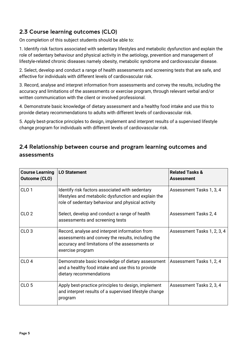# <span id="page-4-1"></span><span id="page-4-0"></span>2.3 Course learning outcomes (CLO)

On completion of this subject students should be able to:

1. Identify risk factors associated with sedentary lifestyles and metabolic dysfunction and explain the role of sedentary behaviour and physical activity in the aetiology, prevention and management of lifestyle-related chronic diseases namely obesity, metabolic syndrome and cardiovascular disease.

2. Select, develop and conduct a range of health assessments and screening tests that are safe, and effective for individuals with different levels of cardiovascular risk.

3. Record, analyse and interpret information from assessments and convey the results, including the accuracy and limitations of the assessments or exercise program, through relevant verbal and/or written communication with the client or involved professional.

4. Demonstrate basic knowledge of dietary assessment and a healthy food intake and use this to provide dietary recommendations to adults with different levels of cardiovascular risk.

5. Apply best-practice principles to design, implement and interpret results of a supervised lifestyle change program for individuals with different levels of cardiovascular risk.

## 2.4 Relationship between course and program learning outcomes and assessments

| <b>Course Learning</b><br><b>Outcome (CLO)</b> | <b>LO Statement</b>                                                                                                                                                       | <b>Related Tasks &amp;</b><br>Assessment |
|------------------------------------------------|---------------------------------------------------------------------------------------------------------------------------------------------------------------------------|------------------------------------------|
| CLO <sub>1</sub>                               | Identify risk factors associated with sedentary<br>lifestyles and metabolic dysfunction and explain the<br>role of sedentary behaviour and physical activity              | Assessment Tasks 1, 3, 4                 |
| CLO <sub>2</sub>                               | Select, develop and conduct a range of health<br>assessments and screening tests                                                                                          | Assessment Tasks 2, 4                    |
| CLO <sub>3</sub>                               | Record, analyse and interpret information from<br>assessments and convey the results, including the<br>accuracy and limitations of the assessments or<br>exercise program | Assessment Tasks 1, 2, 3, 4              |
| CLO <sub>4</sub>                               | Demonstrate basic knowledge of dietary assessment<br>and a healthy food intake and use this to provide<br>dietary recommendations                                         | Assessment Tasks 1, 2, 4                 |
| CLO <sub>5</sub>                               | Apply best-practice principles to design, implement<br>and interpret results of a supervised lifestyle change<br>program                                                  | Assessment Tasks 2, 3, 4                 |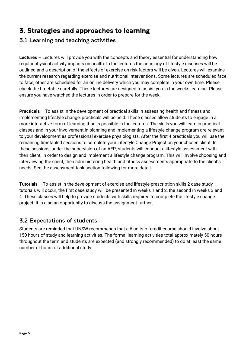# <span id="page-5-0"></span>3. Strategies and approaches to learning

## <span id="page-5-1"></span>3.1 Learning and teaching activities

**Lectures** – Lectures will provide you with the concepts and theory essential for understanding how regular physical activity impacts on health. In the lectures the aetiology of lifestyle diseases will be outlined and a description of the effects of exercise on risk factors will be given. Lectures will examine the current research regarding exercise and nutritional interventions. Some lectures are scheduled face to face, other are scheduled for an online delivery which you may complete in your own time. Please check the timetable carefully. These lectures are designed to assist you in the weeks learning. Please ensure you have watched the lectures in order to prepare for the week.

**Practicals** – To assist in the development of practical skills in assessing health and fitness and implementing lifestyle change, practicals will be held. These classes allow students to engage in a more interactive form of learning than is possible in the lectures. The skills you will learn in practical classes and in your involvement in planning and implementing a lifestyle change program are relevant to your development as professional exercise physiologists. After the first 4 practicals you will use the remaining timetabled sessions to complete your Lifestyle Change Project on your chosen client. In these sessions, under the supervision of an AEP, students will conduct a lifestyle assessment with their client, in order to design and implement a lifestyle change program. This will involve choosing and interviewing the client, then administering health and fitness assessments appropriate to the client's needs. See the assessment task section following for more detail.

**Tutorials** – To assist in the development of exercise and lifestyle prescription skills 2 case study tutorials will occur, the first case study will be presented in weeks 1 and 2, the second in weeks 3 and 4. These classes will help to provide students with skills required to complete the lifestyle change project. It is also an opportunity to discuss the assignment further.

## <span id="page-5-2"></span>3.2 Expectations of students

Students are reminded that UNSW recommends that a 6 units-of-credit course should involve about 150 hours of study and learning activities. The formal learning activities total approximately 50 hours throughout the term and students are expected (and strongly recommended) to do at least the same number of hours of additional study.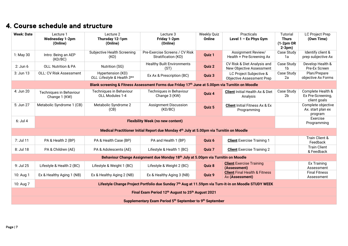# 4. Course schedule and structure

<span id="page-6-1"></span><span id="page-6-0"></span>

| <b>Week: Date</b>                                                                        | Lecture 1<br><b>Wednesday 1-2pm</b><br>(Online)                                                      | Lecture 2<br>Thursday 12-1pm<br>(Online)         | Lecture 3<br>Friday 1-2pm<br>(Online)                                                            | <b>Weekly Quiz</b><br>Online | Practicals<br>Level $1 - Ex Phys Gym$                       | Tutorial<br><b>Thurs</b><br>$(1-2pm OR$<br>$2-3pm)$ | <b>LC Project Prep</b><br>(Own Time)                   |
|------------------------------------------------------------------------------------------|------------------------------------------------------------------------------------------------------|--------------------------------------------------|--------------------------------------------------------------------------------------------------|------------------------------|-------------------------------------------------------------|-----------------------------------------------------|--------------------------------------------------------|
| 1: May 30                                                                                | Intro: Being an AEP<br>(KD/BC)                                                                       | Subjective Health Screening<br>(KD)              | Pre-Exercise Screens / CV Risk<br>Stratification (KD)                                            | Quiz 1                       | Assignment Review/<br>Health + Pre-Screening Ax             | Case Study<br>1a                                    | Identify client &<br>prep subjective Ax                |
| $2:$ Jun $6$                                                                             | OLL: Nutrition & PA                                                                                  | Nutrition (SG)                                   | <b>Healthy Built Environments</b><br>(ST)                                                        | Quiz 2                       | CV Risk & Diet Analysis and<br>New Objective Assessment     | Case Study<br>1b                                    | Develop Health &<br>Pre-Ex Screen                      |
| 3: Jun 13                                                                                | <b>OLL: CV Risk Assessment</b>                                                                       | Hypertension (KD)<br>OLL: Lifestyle & Health 3** | Ex Ax & Prescription (BC)                                                                        | Quiz 3                       | LC Project Subjective &<br><b>Objective Assessment Prep</b> | Case Study<br>2a                                    | Plan/Prepare<br>objective Ax Forms                     |
|                                                                                          |                                                                                                      |                                                  | Blank screening & Fitness Assessment Forms due Friday 17th June at 5.00pm via Turnitin on Moodle |                              |                                                             |                                                     |                                                        |
| 4: Jun 20                                                                                | Techniques in Behaviour<br>Change 1 (KW)                                                             | Techniques in Behaviour<br>OLL Modules 1-4       | Techniques in Behaviour<br>Change 3 (KW)                                                         | Quiz 4                       | <b>Client Initial Health Ax &amp; Diet</b><br>Analysis      | Case Study<br>2 <sub>b</sub>                        | Complete Health &<br>Ex Pre-Screening,<br>client goals |
| 5: Jun 27                                                                                | Metabolic Syndrome 1 (CB)                                                                            | Metabolic Syndrome 2<br>(CB)                     | <b>Assignment Discussion</b><br>(KD/BC)                                                          | Quiz 5                       | <b>Client</b> Initial Fitness Ax & Ex<br>Programming        |                                                     | Complete objective<br>Ax. start plan ex<br>program     |
| $6:$ Jul 4<br><b>Flexibility Week (no new content)</b>                                   |                                                                                                      |                                                  |                                                                                                  |                              |                                                             |                                                     | Exercise<br>Programming                                |
| Medical Practitioner Initial Report due Monday 4th July at 5.00pm via Turnitin on Moodle |                                                                                                      |                                                  |                                                                                                  |                              |                                                             |                                                     |                                                        |
| 7: Jul 11                                                                                | PA & Health 2 (BP)                                                                                   | PA & Health Case (BP)                            | PA and Health 1 (BP)                                                                             | Quiz 6                       | <b>Client</b> Exercise Training 1                           |                                                     | Train Client &<br>Feedback                             |
| 8: Jul 18                                                                                | PA & Children (AE)                                                                                   | PA & Adolescents (AE)                            | Lifestyle & Health 1 (BC)                                                                        | Quiz 7                       | <b>Client</b> Exercise Training 2                           |                                                     | <b>Train Client</b><br>& Feedback                      |
|                                                                                          |                                                                                                      |                                                  | Behaviour Change Assignment due Monday 18th July at 5.00pm via Turnitin on Moodle                |                              |                                                             |                                                     |                                                        |
| 9: Jul 25                                                                                | Lifestyle & Health 2 (BC)                                                                            | Lifestyle & Weight 1 (BC)                        | Lifestyle & Weight 2 (BC)                                                                        | Quiz 8                       | <b>Client</b> Exercise Training<br>(Assessment)             |                                                     | Ex Training<br>Assessment                              |
| 10: Aug 1                                                                                | Ex & Healthy Aging 1 (NB)                                                                            | Ex & Healthy Aging 2 (NB)                        | Ex & Healthy Aging 3 (NB)                                                                        | Quiz 9                       | <b>Client Final Health &amp; Fitness</b><br>Ax (Assessment) |                                                     | <b>Final Fitness</b><br>Assessment                     |
| 10: Aug 7                                                                                | Lifestyle Change Project Portfolio due Sunday 7th Aug at 11.59pm via Turn-it-in on Moodle STUDY WEEK |                                                  |                                                                                                  |                              |                                                             |                                                     |                                                        |
| Final Exam Period 12 <sup>th</sup> August to 25 <sup>th</sup> August 2021                |                                                                                                      |                                                  |                                                                                                  |                              |                                                             |                                                     |                                                        |
| Supplementary Exam Period 5 <sup>th</sup> September to 9 <sup>th</sup> September         |                                                                                                      |                                                  |                                                                                                  |                              |                                                             |                                                     |                                                        |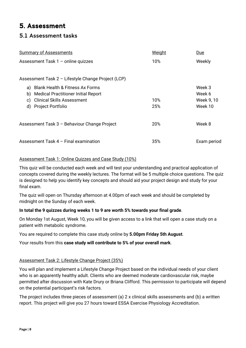# 5. Assessment

## <span id="page-7-0"></span>5.1 Assessment tasks

| <b>Summary of Assessments</b>                      | <b>Weight</b> | <u>Due</u>  |
|----------------------------------------------------|---------------|-------------|
| Assessment Task 1 - online quizzes                 | 10%           | Weekly      |
|                                                    |               |             |
| Assessment Task 2 - Lifestyle Change Project (LCP) |               |             |
| <b>Blank Health &amp; Fitness Ax Forms</b><br>a)   |               | Week 3      |
| <b>Medical Practitioner Initial Report</b><br>b)   |               | Week 6      |
| <b>Clinical Skills Assessment</b><br>C)            | 10%           | Week 9, 10  |
| d) Project Portfolio                               | 25%           | Week 10     |
| Assessment Task 3 - Behaviour Change Project       | 20%           | Week 8      |
|                                                    |               |             |
| Assessment Task 4 - Final examination              | 35%           | Exam period |

#### Assessment Task 1: Online Quizzes and Case Study (10%)

This quiz will be conducted each week and will test your understanding and practical application of concepts covered during the weekly lectures. The format will be 5 multiple choice questions. The quiz is designed to help you identify key concepts and should aid your project design and study for your final exam.

The quiz will open on Thursday afternoon at 4.00pm of each week and should be completed by midnight on the Sunday of each week.

#### **In total the 9 quizzes during weeks 1 to 9 are worth 5% towards your final grade**.

On Monday 1st August, Week 10, you will be given access to a link that will open a case study on a patient with metabolic syndrome.

You are required to complete this case study online by **5.00pm Friday 5th August**.

Your results from this **case study will contribute to 5% of your overall mark**.

#### Assessment Task 2: Lifestyle Change Project (35%)

You will plan and implement a Lifestyle Change Project based on the individual needs of your client who is an apparently healthy adult. Clients who are deemed moderate cardiovascular risk, maybe permitted after discussion with Kate Drury or Briana Clifford. This permission to participate will depend on the potential participant's risk factors.

The project includes three pieces of assessment (a) 2 x clinical skills assessments and (b) a written report. This project will give you 27 hours toward ESSA Exercise Physiology Accreditation.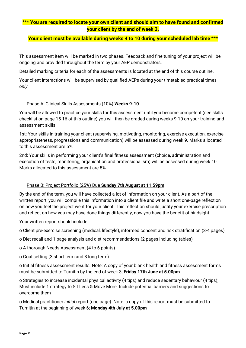#### \*\*\* **You are required to locate your own client and should aim to have found and confirmed your client by the end of week 3.**

#### **Your client must be available during weeks 4 to 10 during your scheduled lab time** \*\*\*

This assessment item will be marked in two phases. Feedback and fine tuning of your project will be ongoing and provided throughout the term by your AEP demonstrators.

Detailed marking criteria for each of the assessments is located at the end of this course outline.

Your client interactions will be supervised by qualified AEPs during your timetabled practical times *only*.

#### Phase A: Clinical Skills Assessments (10%) **Weeks 9-10**

You will be allowed to practice your skills for this assessment until you become competent (see skills checklist on page 15-16 of this outline) you will then be graded during weeks 9-10 on your training and assessment skills.

1st: Your skills in training your client (supervising, motivating, monitoring, exercise execution, exercise appropriateness, progressions and communication) will be assessed during week 9. Marks allocated to this assessment are 5%.

2nd: Your skills in performing your client's final fitness assessment (choice, administration and execution of tests, monitoring, organisation and professionalism) will be assessed during week 10. Marks allocated to this assessment are 5%.

#### Phase B: Project Portfolio (25%) Due **Sunday 7th August at 11:59pm**

By the end of the term, you will have collected a lot of information on your client. As a part of the written report, you will compile this information into a client file and write a short one-page reflection on how you feel the project went for your client. This reflection should justify your exercise prescription and reflect on how you may have done things differently, now you have the benefit of hindsight.

Your written report should include:

o Client pre-exercise screening (medical, lifestyle), informed consent and risk stratification (3-4 pages)

- o Diet recall and 1 page analysis and diet recommendations (2 pages including tables)
- o A thorough Needs Assessment (4 to 6 points)
- o Goal setting (3 short term and 3 long term)

o Initial fitness assessment results. Note: A copy of your blank health and fitness assessment forms must be submitted to Turnitin by the end of week 3; **Friday 17th June at 5.00pm**

o Strategies to increase incidental physical activity (4 tips) and reduce sedentary behaviour (4 tips); Must include 1 strategy to Sit Less & Move More. Include potential barriers and suggestions to overcome them

o Medical practitioner *initial* report (one page). Note: a copy of this report must be submitted to Turnitin at the beginning of week 6; **Monday 4th July at 5.00pm**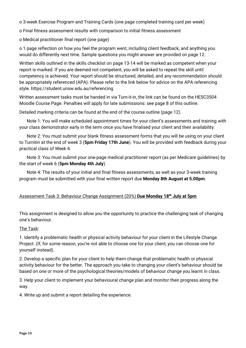o 3-week Exercise Program and Training Cards (one page completed training card per week)

o Final fitness assessment results with comparison to initial fitness assessment

o Medical practitioner *final* report (one page)

o 1 page reflection on how you feel the program went, including client feedback, and anything you would do differently next time. Sample questions you might answer are provided on page 12.

Written skills outlined in the skills checklist on page 13-14 will be marked as competent when your report is marked. If you are deemed not competent, you will be asked to repeat the skill until competency is achieved. Your report should be structured, detailed, and any recommendation should be appropriately referenced (APA). Please refer to the link below for advice on the APA referencing style. https://student.unsw.edu.au/referencing

Written assessment tasks must be handed in via Turn-it-in, the link can be found on the HESC3504 Moodle Course Page. Penalties will apply for late submissions: see page 8 of this outline.

Detailed marking criteria can be found at the end of the course outline (page 12).

Note 1: You will make scheduled appointment times for your client's assessments and training with your class demonstrator early in the term once you have finalised your client and their availability.

Note 2: You must submit your blank fitness assessment forms that you will be using on your client to Turnitin at the end of week 3 (**5pm Friday 17th June**). You will be provided with feedback during your practical class of Week 4.

Note 3: You must submit your one-page medical practitioner report (as per Medicare guidelines) by the start of week 6 (**5pm Monday 4th July**).

Note 4: The results of your initial and final fitness assessments, as well as your 3-week training program must be submitted with your final written report due **Monday 8th August at 5.00pm**.

#### Assessment Task 3: Behaviour Change Assignment (20%) **Due Monday 18th July at 5pm**

This assignment is designed to allow you the opportunity to practice the challenging task of changing one's behaviour.

#### The Task:

1. Identify a problematic health or physical activity behaviour for your client in the Lifestyle Change Project. (If, for some reason, you're not able to choose one for your client, you can choose one for yourself instead).

2. Develop a specific plan for your client to help them change that problematic health or physical activity behaviour for the better. The approach you take to changing your client's behaviour should be based on one or more of the psychological theories/models of behaviour change you learnt in class.

3. Help your client to implement your behavioural change plan and monitor their progress along the way.

4. Write up and submit a report detailing the experience.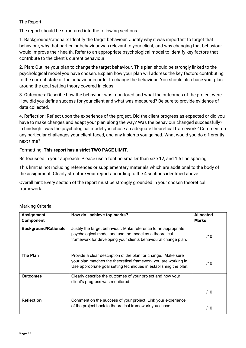#### The Report:

The report should be structured into the following sections:

1. Background/rationale: Identify the target behaviour. Justify why it was important to target that behaviour, why that particular behaviour was relevant to your client, and why changing that behaviour would improve their health. Refer to an appropriate psychological model to identify key factors that contribute to the client's current behaviour.

2. Plan: Outline your plan to change the target behaviour. This plan should be strongly linked to the psychological model you have chosen. Explain how your plan will address the key factors contributing to the current state of the behaviour in order to change the behaviour. You should also base your plan around the goal setting theory covered in class.

3. Outcomes: Describe how the behaviour was monitored and what the outcomes of the project were. How did you define success for your client and what was measured? Be sure to provide evidence of data collected.

4. Reflection: Reflect upon the experience of the project. Did the client progress as expected or did you have to make changes and adapt your plan along the way? Was the behaviour changed successfully? In hindsight, was the psychological model you chose an adequate theoretical framework? Comment on any particular challenges your client faced, and any insights you gained. What would you do differently next time?

#### Formatting: **This report has a strict TWO PAGE LIMIT**.

Be focussed in your approach. Please use a font no smaller than size 12, and 1.5 line spacing.

This limit is not including references or supplementary materials which are additional to the body of the assignment. Clearly structure your report according to the 4 sections identified above.

Overall hint: Every section of the report must be strongly grounded in your chosen theoretical framework.

| <b>Assignment</b><br><b>Component</b> | How do I achieve top marks?                                                                                                                                                                           | <b>Allocated</b><br><b>Marks</b> |
|---------------------------------------|-------------------------------------------------------------------------------------------------------------------------------------------------------------------------------------------------------|----------------------------------|
| <b>Background/Rationale</b>           | Justify the target behaviour. Make reference to an appropriate<br>psychological model and use the model as a theoretical<br>framework for developing your clients behavioural change plan.            | /10                              |
| The Plan                              | Provide a clear description of the plan for change. Make sure<br>your plan matches the theoretical framework you are working in.<br>Use appropriate goal setting techniques in establishing the plan. | /10                              |
| <b>Outcomes</b>                       | Clearly describe the outcomes of your project and how your<br>client's progress was monitored.                                                                                                        |                                  |
|                                       |                                                                                                                                                                                                       | /10                              |
| <b>Reflection</b>                     | Comment on the success of your project. Link your experience<br>of the project back to theoretical framework you chose.                                                                               | /10                              |

#### Marking Criteria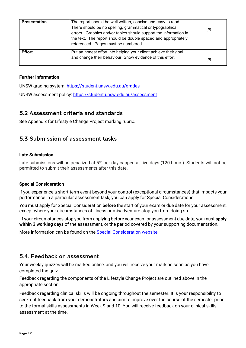| <b>Presentation</b> | The report should be well written, concise and easy to read.<br>There should be no spelling, grammatical or typographical<br>errors. Graphics and/or tables should support the information in<br>the text. The report should be double spaced and appropriately<br>referenced. Pages must be numbered. | /5 |
|---------------------|--------------------------------------------------------------------------------------------------------------------------------------------------------------------------------------------------------------------------------------------------------------------------------------------------------|----|
| <b>Effort</b>       | Put an honest effort into helping your client achieve their goal<br>and change their behaviour. Show evidence of this effort.                                                                                                                                                                          | /5 |

#### **Further information**

UNSW grading system:<https://student.unsw.edu.au/grades>

UNSW assessment policy:<https://student.unsw.edu.au/assessment>

## <span id="page-11-0"></span>5.2 Assessment criteria and standards

<span id="page-11-1"></span>See Appendix for Lifestyle Change Project marking rubric.

## 5.3 Submission of assessment tasks

#### **Late Submission**

Late submissions will be penalized at 5% per day capped at five days (120 hours). Students will not be permitted to submit their assessments after this date.

#### **Special Consideration**

If you experience a short-term event beyond your control (exceptional circumstances) that impacts your performance in a particular assessment task, you can apply for Special Considerations.

You must apply for Special Consideration **before** the start of your exam or due date for your assessment, except where your circumstances of illness or misadventure stop you from doing so.

If your circumstances stop you from applying before your exam or assessment due date, you must **apply within 3 working days** of the assessment, or the period covered by your supporting documentation.

More information can be found on the [Special Consideration website.](https://www.student.unsw.edu.au/special-consideration)

## <span id="page-11-2"></span>5.4. Feedback on assessment

Your weekly quizzes will be marked online, and you will receive your mark as soon as you have completed the quiz.

Feedback regarding the components of the Lifestyle Change Project are outlined above in the appropriate section.

Feedback regarding clinical skills will be ongoing throughout the semester. It is your responsibility to seek out feedback from your demonstrators and aim to improve over the course of the semester prior to the formal skills assessments in Week 9 and 10. You will receive feedback on your clinical skills assessment at the time.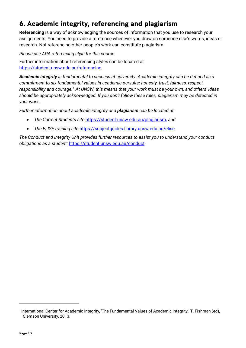# <span id="page-12-0"></span>6. Academic integrity, referencing and plagiarism

**Referencing** is a way of acknowledging the sources of information that you use to research your assignments. You need to provide a reference whenever you draw on someone else's words, ideas or research. Not referencing other people's work can constitute plagiarism.

*Please use APA referencing style for this course.*

Further information about referencing styles can be located at <https://student.unsw.edu.au/referencing>

*Academic integrity is fundamental to success at university. Academic integrity can be defined as a commitment to six fundamental values in academic pursuits: honesty, trust, fairness, respect, responsibility and courage.*[1](#page-12-1) *At UNSW, this means that your work must be your own, and others' ideas should be appropriately acknowledged. If you don't follow these rules, plagiarism may be detected in your work.* 

*Further information about academic integrity and plagiarism can be located at:* 

- *The Current Students site* <https://student.unsw.edu.au/plagiarism>*, and*
- *The ELISE training site* <https://subjectguides.library.unsw.edu.au/elise>

*The Conduct and Integrity Unit provides further resources to assist you to understand your conduct obligations as a student:* <https://student.unsw.edu.au/conduct>*.* 

<span id="page-12-1"></span><sup>1</sup> International Center for Academic Integrity, 'The Fundamental Values of Academic Integrity', T. Fishman (ed), Clemson University, 2013.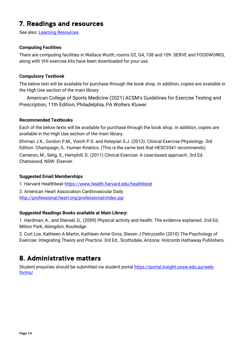# <span id="page-13-0"></span>7. Readings and resources

See also: [Learning Resources](https://medicalsciences.med.unsw.edu.au/students/undergraduate/learning-resources) 

#### **Computing Facilities**

There are computing facilities in Wallace Wurth, rooms G2, G4, 108 and 109. SERVE and FOODWORKS, along with VHI exercise kits have been downloaded for your use.

#### **Compulsory Textbook**

The below text will be available for purchase through the book shop. In addition, copies are available in the High Use section of the main library.

American College of Sports Medicine (2021) ACSM's Guidelines for Exercise Testing and Prescription, 11th Edition, Philadelphia, PA Wolters Kluwer

#### **Recommended Textbooks**

Each of the below texts will be available for purchase through the book shop. In addition, copies are available in the High Use section of the main library.

Ehrman J.K., Gordon P.M., Visich P.S. and Keteyian S.J. (2013). Clinical Exercise Physiology. 3rd Edition. Champaign, IL. Human Kinetics. (This is the same text that HESC3541 recommends) Cameron, M., Selig, S., Hemphill, D. (2011) Clinical Exercise: A case-based approach. 3rd Ed. Chatswood, NSW. Elsevier.

#### **Suggested Email Memberships**

1. Harvard Healthbeat<https://www.health.harvard.edu/healthbeat>

2. American Heart Association Cardiovascular Daily <http://professional.heart.org/professional/index.jsp>

#### **Suggested Readings Books available at Main Library:**

1. Hardman, A., and Stensel, D,. (2009) Physical activity and health: The evidence explained. 2nd Ed, Milton Park, Abingdon, Routledge.

2. Curt Lox, Kathleen A Martin, Kathleen Anne Ginis, Steven J Petruzzello (2010) The Psychology of Exercise: Integrating Theory and Practice. 3rd Ed., Scottsdale, Arizona: Holcomb Hathaway Publishers.

# <span id="page-13-1"></span>8. Administrative matters

Student enquiries should be submitted via student portal [https://portal.insight.unsw.edu.au/web](https://portal.insight.unsw.edu.au/web-forms/)[forms/](https://portal.insight.unsw.edu.au/web-forms/)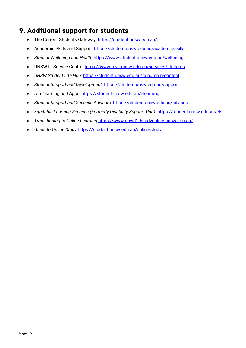# <span id="page-14-0"></span>9. Additional support for students

- The Current Students Gateway:<https://student.unsw.edu.au/>
- Academic Skills and Support:<https://student.unsw.edu.au/academic-skills>
- *Student Wellbeing and Health* <https://www.student.unsw.edu.au/wellbeing>
- UNSW IT Service Centre:<https://www.myit.unsw.edu.au/services/students>
- *UNSW Student Life Hub:* <https://student.unsw.edu.au/hub#main-content>
- *Student Support and Development:* <https://student.unsw.edu.au/support>
- *IT, eLearning and Apps:* <https://student.unsw.edu.au/elearning>
- *Student Support and Success Advisors:* <https://student.unsw.edu.au/advisors>
- *Equitable Learning Services (Formerly Disability Support Unit):* <https://student.unsw.edu.au/els>
- *Transitioning to Online Learning* <https://www.covid19studyonline.unsw.edu.au/>
- *Guide to Online Study* <https://student.unsw.edu.au/online-study>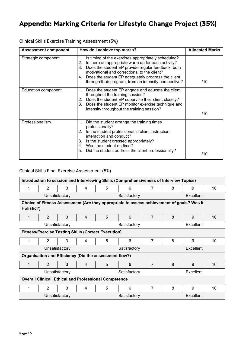# Appendix: Marking Criteria for Lifestyle Change Project (35%)

Clinical Skills Exercise Training Assessment (5%)

| <b>Assessment component</b> | How do I achieve top marks?                                                                                                                                                                                                                                                                                                                            | <b>Allocated Marks</b> |
|-----------------------------|--------------------------------------------------------------------------------------------------------------------------------------------------------------------------------------------------------------------------------------------------------------------------------------------------------------------------------------------------------|------------------------|
| Strategic component         | Is timing of the exercises appropriately scheduled?<br>1.<br>Is there an appropriate warm up for each activity?<br>2.<br>Does the student EP provide regular feedback, both<br>3.<br>motivational and correctional to the client?<br>Does the student EP adequately progress the client<br>4.<br>through their program, from an intensity perspective? | /10                    |
| Education component         | $\mathbf{1}$ .<br>Does the student EP engage and educate the client<br>throughout the training session?<br>Does the student EP supervise their client closely?<br>2.<br>Does the student EP monitor exercise technique and<br>3.<br>intensity throughout the training session?                                                                         | /10                    |
| Professionalism             | Did the student arrange the training times<br>1.<br>professionally?<br>Is the student professional in client instruction,<br>2.<br>interaction and conduct?<br>3.<br>Is the student dressed appropriately?<br>Was the student on time?<br>4.<br>Did the student address the client professionally?<br>5.                                               | /10                    |

## Clinical Skills Final Exercise Assessment (5%)

| Introduction to session and Interviewing Skills (Comprehensiveness of Interview Topics) |                |                |   |                                                            |                                                                                           |                |   |           |    |
|-----------------------------------------------------------------------------------------|----------------|----------------|---|------------------------------------------------------------|-------------------------------------------------------------------------------------------|----------------|---|-----------|----|
| 1                                                                                       | 2              | 3              | 4 | 5                                                          | 6                                                                                         | 7              | 8 | 9         | 10 |
|                                                                                         |                | Unsatisfactory |   |                                                            | Satisfactory                                                                              |                |   | Excellent |    |
| Holistic?)                                                                              |                |                |   |                                                            | Choice of Fitness Assessment (Are they appropriate to assess achievement of goals? Was it |                |   |           |    |
|                                                                                         | $\overline{2}$ | 3              | 4 | 5                                                          | 6                                                                                         | 7              | 8 | 9         | 10 |
|                                                                                         |                | Unsatisfactory |   |                                                            | Satisfactory                                                                              |                |   | Excellent |    |
|                                                                                         |                |                |   | <b>Fitness/Exercise Testing Skills (Correct Execution)</b> |                                                                                           |                |   |           |    |
|                                                                                         | $\overline{2}$ | 3              | 4 | 5                                                          | 6                                                                                         | 7              | 8 | 9         | 10 |
|                                                                                         |                | Unsatisfactory |   |                                                            | Satisfactory                                                                              |                |   | Excellent |    |
|                                                                                         |                |                |   | Organisation and Efficiency (Did the assessment flow?)     |                                                                                           |                |   |           |    |
|                                                                                         | $\overline{2}$ | 3              | 4 | 5                                                          | 6                                                                                         | $\overline{7}$ | 8 | 9         | 10 |
|                                                                                         |                | Unsatisfactory |   |                                                            | Satisfactory                                                                              |                |   | Excellent |    |
| <b>Overall Clinical, Ethical and Professional Competence</b>                            |                |                |   |                                                            |                                                                                           |                |   |           |    |
| 1                                                                                       | 2              | 3              | 4 | 5                                                          | 6                                                                                         | 7              | 8 | 9         | 10 |
| Unsatisfactory<br>Excellent<br>Satisfactory                                             |                |                |   |                                                            |                                                                                           |                |   |           |    |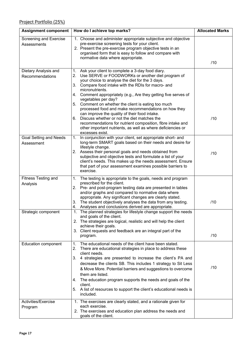| <b>Assignment component</b>             | How do I achieve top marks?                                                                                                                                                                                                                                                                                                                                                                                                                                                                                                                                                                                                                                                                                 | <b>Allocated Marks</b> |
|-----------------------------------------|-------------------------------------------------------------------------------------------------------------------------------------------------------------------------------------------------------------------------------------------------------------------------------------------------------------------------------------------------------------------------------------------------------------------------------------------------------------------------------------------------------------------------------------------------------------------------------------------------------------------------------------------------------------------------------------------------------------|------------------------|
| Screening and Exercise<br>Assessments   | 1. Choose and administer appropriate subjective and objective<br>pre-exercise screening tests for your client.<br>2. Present the pre-exercise program objective tests in an<br>organised form that is easy to follow and compare with<br>normative data where appropriate.                                                                                                                                                                                                                                                                                                                                                                                                                                  |                        |
|                                         |                                                                                                                                                                                                                                                                                                                                                                                                                                                                                                                                                                                                                                                                                                             | /10                    |
| Dietary Analysis and<br>Recommendations | 1. Ask your client to complete a 3-day food diary.<br>Use SERVE or FOODWORKs or another diet program of<br>2.<br>your choice to analyse the diet for the 3 days.<br>3.<br>Compare food intake with the RDIs for macro- and<br>micronutrients.<br>Comment appropriately (e.g., Are they getting five serves of<br>4.<br>vegetables per day?<br>5. Comment on whether the client is eating too much<br>processed food and make recommendations on how they<br>can improve the quality of their food intake.<br>6. Discuss whether or not the diet matches the<br>recommendations for nutrient composition, fibre intake and<br>other important nutrients, as well as where deficiencies or<br>excesses exist. | /10                    |
| Goal Setting and Needs<br>Assessment    | 1. In conjunction with your client, set appropriate short- and<br>long-term SMART goals based on their needs and desire for<br>lifestyle change.<br>2. Assess their personal goals and needs obtained from<br>subjective and objective tests and formulate a list of your<br>client's needs. This makes up the needs assessment. Ensure<br>that part of your assessment examines possible barriers to<br>exercise.                                                                                                                                                                                                                                                                                          | /10                    |
| <b>Fitness Testing and</b><br>Analysis  | The testing is appropriate to the goals, needs and program<br>1.<br>prescribed for the client.<br>2. Pre- and post-program testing data are presented in tables<br>and/or graphs and compared to normative data where<br>appropriate. Any significant changes are clearly stated.<br>3. The student objectively analyses the data from any testing.<br>Analyses and conclusions derived are appropriate.<br>4.                                                                                                                                                                                                                                                                                              | /10                    |
| Strategic component                     | The planned strategies for lifestyle change support the needs<br>1.<br>and goals of the client.<br>2. The strategies are logical, realistic and will help the client<br>achieve their goals.<br>3. Client requests and feedback are an integral part of the<br>program.                                                                                                                                                                                                                                                                                                                                                                                                                                     | /10                    |
| Education component                     | The educational needs of the client have been stated.<br>1.<br>2. There are educational strategies in place to address these<br>client needs.<br>3. 4 strategies are presented to increase the client's PA and<br>decrease the clients SB. This includes 1 strategy to Sit Less<br>& Move More. Potential barriers and suggestions to overcome<br>them are listed.<br>The education program supports the needs and goals of the<br>4.<br>client.<br>5. A list of resources to support the client's educational needs is<br>included.                                                                                                                                                                        | /10                    |
| Activities/Exercise<br>Program          | 1. The exercises are clearly stated, and a rationale given for<br>each exercise.<br>2. The exercises and education plan address the needs and<br>goals of the client.                                                                                                                                                                                                                                                                                                                                                                                                                                                                                                                                       |                        |